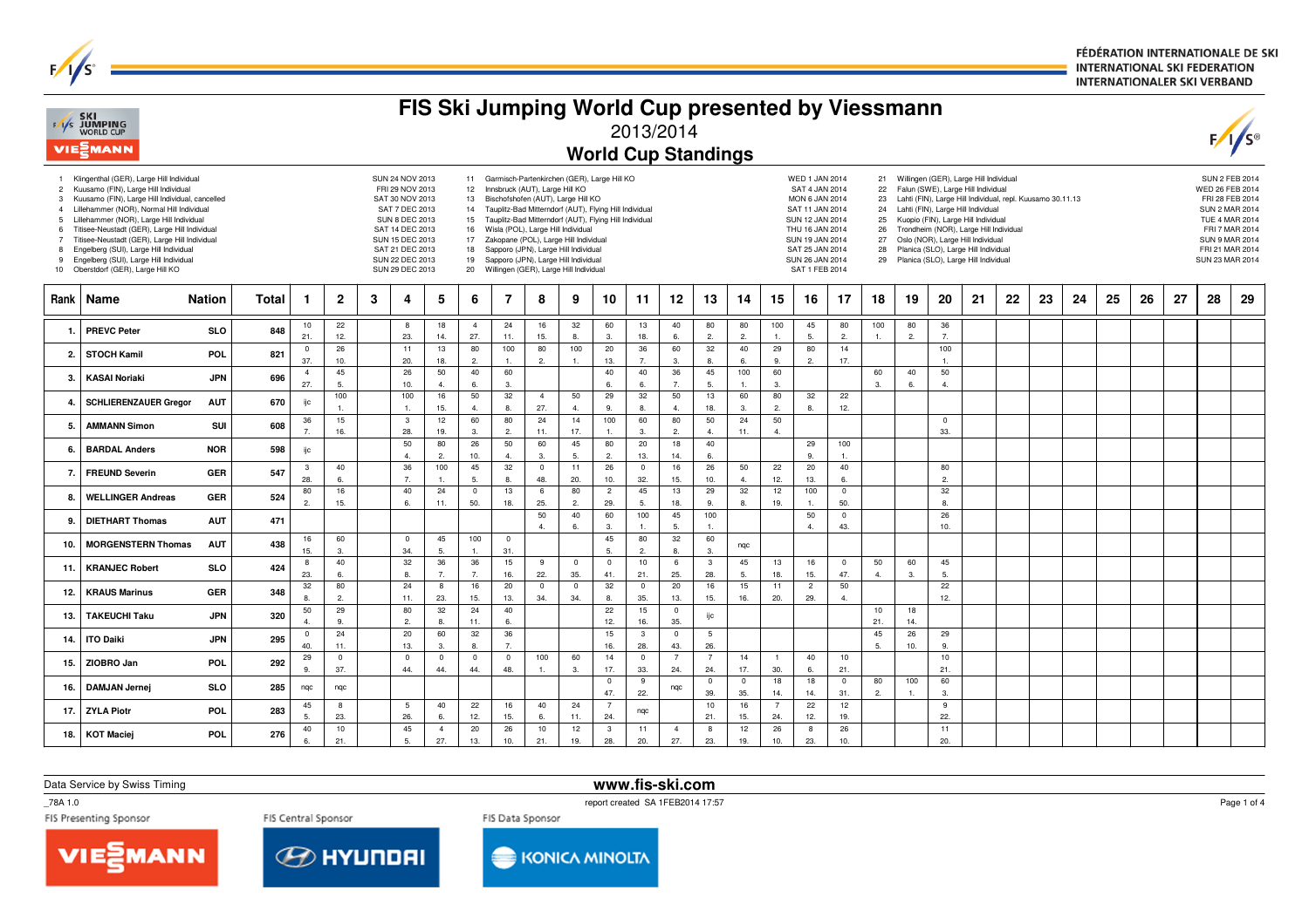FÉDÉRATION INTERNATIONALE DE SKI **INTERNATIONAL SKI FEDERATION INTERNATIONALER SKI VERBAND** 

|                                                                     | F/I/S SKI<br>WORLD CUP<br>VIE EMANN                                                                                                                                                                                                                                                                                                                                                                                                                      | FIS Ski Jumping World Cup presented by Viessmann<br>2013/2014<br><b>World Cup Standings</b> |                                                                                                                                                                                                                                                                                                                                                                                                                                                                                                                                                                                                                                                                                                                                                                                                                                                                                                                                                                                                                                                                                                                                                                                                                                                                                                                             |                       |                      |   |                         |                      |                       |                       |                       |                                |                       |                       |                       |                        |                      |                       |                                                                                                                                                                                  |                      |                     |                |                       | $\sqrt{s}$ |    |    |    |    |    |    |    |    |
|---------------------------------------------------------------------|----------------------------------------------------------------------------------------------------------------------------------------------------------------------------------------------------------------------------------------------------------------------------------------------------------------------------------------------------------------------------------------------------------------------------------------------------------|---------------------------------------------------------------------------------------------|-----------------------------------------------------------------------------------------------------------------------------------------------------------------------------------------------------------------------------------------------------------------------------------------------------------------------------------------------------------------------------------------------------------------------------------------------------------------------------------------------------------------------------------------------------------------------------------------------------------------------------------------------------------------------------------------------------------------------------------------------------------------------------------------------------------------------------------------------------------------------------------------------------------------------------------------------------------------------------------------------------------------------------------------------------------------------------------------------------------------------------------------------------------------------------------------------------------------------------------------------------------------------------------------------------------------------------|-----------------------|----------------------|---|-------------------------|----------------------|-----------------------|-----------------------|-----------------------|--------------------------------|-----------------------|-----------------------|-----------------------|------------------------|----------------------|-----------------------|----------------------------------------------------------------------------------------------------------------------------------------------------------------------------------|----------------------|---------------------|----------------|-----------------------|------------|----|----|----|----|----|----|----|----|
| 1<br>$\overline{2}$<br>3<br>4<br>5<br>6<br>$\overline{7}$<br>8<br>9 | Klingenthal (GER), Large Hill Individual<br>Kuusamo (FIN), Large Hill Individual<br>Kuusamo (FIN), Large Hill Individual, cancelled<br>Lillehammer (NOR), Normal Hill Individual<br>Lillehammer (NOR), Large Hill Individual<br>Titisee-Neustadt (GER), Large Hill Individual<br>Titisee-Neustadt (GER), Large Hill Individual<br>Engelberg (SUI), Large Hill Individual<br>Engelberg (SUI), Large Hill Individual<br>10 Oberstdorf (GER), Large Hill KO |                                                                                             | SUN 24 NOV 2013<br>11 Garmisch-Partenkirchen (GER), Large Hill KO<br>WED 1 JAN 2014<br>21 Willingen (GER), Large Hill Individual<br>FRI 29 NOV 2013<br>12 Innsbruck (AUT), Large Hill KO<br>SAT 4 JAN 2014<br>Falun (SWE), Large Hill Individual<br>22<br>SAT 30 NOV 2013<br>13 Bischofshofen (AUT), Large Hill KO<br>MON 6 JAN 2014<br>Lahti (FIN), Large Hill Individual, repl. Kuusamo 30.11.13<br>23<br>SAT 7 DEC 2013<br>14 Tauplitz-Bad Mitterndorf (AUT), Flying Hill Individual<br>Lahti (FIN), Large Hill Individual<br>SAT 11 JAN 2014<br>24<br><b>SUN 8 DEC 2013</b><br>15 Tauplitz-Bad Mitterndorf (AUT), Flying Hill Individual<br>SUN 12 JAN 2014<br>Kuopio (FIN), Large Hill Individual<br>25<br>SAT 14 DEC 2013<br>16 Wisla (POL), Large Hill Individual<br>THU 16 JAN 2014<br>Trondheim (NOR), Large Hill Individual<br>26<br>17 Zakopane (POL), Large Hill Individual<br>Oslo (NOR), Large Hill Individual<br>SUN 15 DEC 2013<br>SUN 19 JAN 2014<br>27<br>SAT 21 DEC 2013<br>Sapporo (JPN), Large Hill Individual<br>Planica (SLO), Large Hill Individual<br>SAT 25 JAN 2014<br>18<br>28<br>SUN 22 DEC 2013<br>19 Sapporo (JPN), Large Hill Individual<br>SUN 26 JAN 2014<br>29<br>Planica (SLO), Large Hill Individual<br>20 Willingen (GER), Large Hill Individual<br>SAT 1 FEB 2014<br>SUN 29 DEC 2013 |                       |                      |   |                         |                      |                       |                       |                       |                                |                       |                       |                       |                        |                      |                       | <b>SUN 2 FEB 2014</b><br>WED 26 FEB 2014<br>FRI 28 FEB 2014<br>SUN 2 MAR 2014<br><b>TUE 4 MAR 2014</b><br>FRI 7 MAR 2014<br>SUN 9 MAR 2014<br>FRI 21 MAR 2014<br>SUN 23 MAR 2014 |                      |                     |                |                       |            |    |    |    |    |    |    |    |    |
| <b>Rank</b>                                                         | Name                                                                                                                                                                                                                                                                                                                                                                                                                                                     | <b>Nation</b>                                                                               | Total                                                                                                                                                                                                                                                                                                                                                                                                                                                                                                                                                                                                                                                                                                                                                                                                                                                                                                                                                                                                                                                                                                                                                                                                                                                                                                                       | $\mathbf{1}$          | $\mathbf{2}$         | 3 | 4                       | 5                    | 6                     | 7                     | 8                     | 9                              | 10                    | 11                    | 12                    | 13                     | 14                   | 15                    | 16                                                                                                                                                                               | 17                   | 18                  | 19             | 20                    | 21         | 22 | 23 | 24 | 25 | 26 | 27 | 28 | 29 |
| 1.                                                                  | <b>PREVC Peter</b>                                                                                                                                                                                                                                                                                                                                                                                                                                       | <b>SLO</b>                                                                                  | 848                                                                                                                                                                                                                                                                                                                                                                                                                                                                                                                                                                                                                                                                                                                                                                                                                                                                                                                                                                                                                                                                                                                                                                                                                                                                                                                         | 10<br>21.             | 22<br>12.            |   | 8<br>23.                | 18<br>14.            | $\overline{4}$<br>27. | 24<br>11.             | 16<br>15.             | 32<br>8.                       | 60<br>$\overline{3}$  | 13<br>18.             | 40<br>6.              | 80<br>2.               | 80<br>2.             | 100<br>1.             | 45<br>5.                                                                                                                                                                         | 80<br>2.             | 100<br>$\mathbf{1}$ | 80<br>2.       | 36<br>7.              |            |    |    |    |    |    |    |    |    |
| 2.                                                                  | <b>STOCH Kamil</b>                                                                                                                                                                                                                                                                                                                                                                                                                                       | POL.                                                                                        | 821                                                                                                                                                                                                                                                                                                                                                                                                                                                                                                                                                                                                                                                                                                                                                                                                                                                                                                                                                                                                                                                                                                                                                                                                                                                                                                                         | $\overline{0}$<br>37. | 26<br>10.            |   | 11<br>20.               | 13<br>18.            | 80<br>$\overline{2}$  | 100<br>$\overline{1}$ | 80<br>2.              | 100<br>$\mathbf{1}$            | 20<br>13.             | 36<br>7.              | 60<br>3.              | 32<br>8.               | 40<br>6.             | 29<br>9.              | 80<br>2.                                                                                                                                                                         | 14<br>17.            |                     |                | 100<br>$\mathbf{1}$ . |            |    |    |    |    |    |    |    |    |
| 3.                                                                  | <b>KASAI Noriaki</b>                                                                                                                                                                                                                                                                                                                                                                                                                                     | <b>JPN</b>                                                                                  | 696                                                                                                                                                                                                                                                                                                                                                                                                                                                                                                                                                                                                                                                                                                                                                                                                                                                                                                                                                                                                                                                                                                                                                                                                                                                                                                                         | $\overline{4}$<br>27. | 45<br>5.             |   | 26<br>10.               | 50<br>4.             | 40<br>6.              | 60<br>3.              |                       |                                | 40<br>6.              | 40<br>6.              | 36<br>$\overline{7}$  | 45<br>5.               | 100<br>1.            | 60<br>3.              |                                                                                                                                                                                  |                      | 60<br>3.            | 40<br>6.       | 50<br>$\overline{4}$  |            |    |    |    |    |    |    |    |    |
|                                                                     | <b>SCHLIERENZAUER Gregor</b>                                                                                                                                                                                                                                                                                                                                                                                                                             | <b>AUT</b>                                                                                  | 670                                                                                                                                                                                                                                                                                                                                                                                                                                                                                                                                                                                                                                                                                                                                                                                                                                                                                                                                                                                                                                                                                                                                                                                                                                                                                                                         | ijс                   | 100<br>$\mathbf{1}$  |   | 100<br>$\overline{1}$ . | 16<br>15.            | 50<br>$\overline{4}$  | 32<br>8.              | $\overline{4}$<br>27. | 50<br>$\overline{4}$           | 29<br>9.              | 32<br>8               | 50<br>$\overline{4}$  | 13<br>18.              | 60<br>3.             | 80<br>2.              | 32<br>8.                                                                                                                                                                         | 22<br>12.            |                     |                |                       |            |    |    |    |    |    |    |    |    |
| 5.                                                                  | <b>AMMANN Simon</b>                                                                                                                                                                                                                                                                                                                                                                                                                                      | SUI                                                                                         | 608                                                                                                                                                                                                                                                                                                                                                                                                                                                                                                                                                                                                                                                                                                                                                                                                                                                                                                                                                                                                                                                                                                                                                                                                                                                                                                                         | 36<br>$\overline{7}$  | 15<br>16.            |   | $\mathbf{3}$<br>28.     | 12<br>19.            | 60<br>3               | 80<br>2.              | 24<br>11.             | 14<br>17.                      | 100<br>1              | 60<br>3               | 80<br>2.              | 50<br>$\mathbf{4}$     | 24<br>11.            | 50<br>4.              |                                                                                                                                                                                  |                      |                     |                | $\mathbf 0$<br>33.    |            |    |    |    |    |    |    |    |    |
| 6.                                                                  | <b>BARDAL Anders</b>                                                                                                                                                                                                                                                                                                                                                                                                                                     | <b>NOR</b>                                                                                  | 598                                                                                                                                                                                                                                                                                                                                                                                                                                                                                                                                                                                                                                                                                                                                                                                                                                                                                                                                                                                                                                                                                                                                                                                                                                                                                                                         | ijс                   |                      |   | 50<br>4.                | 80<br>2.             | 26<br>10.             | 50<br>4.              | 60<br>3.              | 45<br>5.                       | 80<br>2.              | 20<br>13.             | 18<br>14.             | 40<br>6.               |                      |                       | 29<br>9.                                                                                                                                                                         | 100<br>1.            |                     |                |                       |            |    |    |    |    |    |    |    |    |
| 7.                                                                  | <b>FREUND Severin</b>                                                                                                                                                                                                                                                                                                                                                                                                                                    | <b>GER</b>                                                                                  | 547                                                                                                                                                                                                                                                                                                                                                                                                                                                                                                                                                                                                                                                                                                                                                                                                                                                                                                                                                                                                                                                                                                                                                                                                                                                                                                                         | $\mathbf{3}$<br>28.   | 40<br>6.             |   | 36<br>7.                | 100<br>$\mathbf{1}$  | 45<br>5.              | 32<br>8.              | $\mathbf 0$<br>48.    | 11<br>20.                      | 26<br>10.             | $\mathbf 0$<br>32.    | 16<br>15.             | 26<br>10.              | 50<br>$\overline{4}$ | 22<br>12.             | 20<br>13.                                                                                                                                                                        | 40<br>6.             |                     |                | 80<br>2.              |            |    |    |    |    |    |    |    |    |
| 8.                                                                  | <b>WELLINGER Andreas</b>                                                                                                                                                                                                                                                                                                                                                                                                                                 | <b>GER</b>                                                                                  | 524                                                                                                                                                                                                                                                                                                                                                                                                                                                                                                                                                                                                                                                                                                                                                                                                                                                                                                                                                                                                                                                                                                                                                                                                                                                                                                                         | 80<br>$\overline{2}$  | 16<br>15.            |   | 40<br>6.                | 24<br>11.            | $\mathbf 0$<br>50.    | 13<br>18.             | 6<br>25.              | 80<br>$\overline{2}$           | $\overline{2}$<br>29. | 45<br>5.              | 13<br>18.             | 29<br>9.               | 32<br>8.             | 12<br>19.             | 100                                                                                                                                                                              | $\mathbf 0$<br>50.   |                     |                | 32<br>8.              |            |    |    |    |    |    |    |    |    |
| 9.                                                                  | <b>DIETHART Thomas</b>                                                                                                                                                                                                                                                                                                                                                                                                                                   | <b>AUT</b>                                                                                  | 471                                                                                                                                                                                                                                                                                                                                                                                                                                                                                                                                                                                                                                                                                                                                                                                                                                                                                                                                                                                                                                                                                                                                                                                                                                                                                                                         |                       |                      |   |                         |                      |                       |                       | 50<br>$\overline{4}$  | 40<br>6.                       | 60<br>$\mathbf{3}$    | 100<br>$\overline{1}$ | 45<br>5.              | 100<br>1               |                      |                       | 50<br>4.                                                                                                                                                                         | $\mathbf{0}$<br>43.  |                     |                | 26<br>10.             |            |    |    |    |    |    |    |    |    |
| 10.                                                                 | <b>MORGENSTERN Thomas</b>                                                                                                                                                                                                                                                                                                                                                                                                                                | <b>AUT</b>                                                                                  | 438                                                                                                                                                                                                                                                                                                                                                                                                                                                                                                                                                                                                                                                                                                                                                                                                                                                                                                                                                                                                                                                                                                                                                                                                                                                                                                                         | 16<br>15.             | 60<br>$\mathbf{3}$   |   | $\mathbf 0$<br>34.      | 45<br>5.             | 100<br>$\mathbf{1}$   | $\overline{0}$<br>31. |                       |                                | 45<br>5.              | 80<br>$\overline{2}$  | 32<br>8.              | 60<br>3.               | nqc                  |                       |                                                                                                                                                                                  |                      |                     |                |                       |            |    |    |    |    |    |    |    |    |
| 11.                                                                 | <b>KRANJEC Robert</b>                                                                                                                                                                                                                                                                                                                                                                                                                                    | <b>SLO</b>                                                                                  | 424                                                                                                                                                                                                                                                                                                                                                                                                                                                                                                                                                                                                                                                                                                                                                                                                                                                                                                                                                                                                                                                                                                                                                                                                                                                                                                                         | 8<br>23.              | 40<br>6.             |   | 32<br>8.                | 36<br>7.             | 36<br>$\overline{7}$  | 15<br>16.             | 9<br>22.              | $\overline{\mathbf{0}}$<br>35. | $\overline{0}$<br>41. | 10<br>21.             | 6<br>25.              | $\mathbf{3}$<br>28     | 45<br>5.             | 13<br>18.             | 16<br>15.                                                                                                                                                                        | $\mathbf 0$<br>47.   | 50<br>4.            | 60<br>3.       | 45<br>5.              |            |    |    |    |    |    |    |    |    |
| 12.                                                                 | <b>KRAUS Marinus</b>                                                                                                                                                                                                                                                                                                                                                                                                                                     | <b>GER</b>                                                                                  | 348                                                                                                                                                                                                                                                                                                                                                                                                                                                                                                                                                                                                                                                                                                                                                                                                                                                                                                                                                                                                                                                                                                                                                                                                                                                                                                                         | 32<br>$\mathbf{8}$    | 80<br>$\overline{2}$ |   | 24<br>11.               | 8<br>23.             | 16<br>15.             | 20<br>13.             | $\mathbf 0$<br>34.    | $\mathbf 0$<br>34.             | 32<br>8               | $\mathbf 0$<br>35.    | 20<br>13.             | 16<br>15.              | 15<br>16.            | 11<br>20.             | $\overline{2}$<br>29.                                                                                                                                                            | 50<br>$\overline{4}$ |                     |                | 22<br>12.             |            |    |    |    |    |    |    |    |    |
| 13.                                                                 | <b>TAKEUCHI Taku</b>                                                                                                                                                                                                                                                                                                                                                                                                                                     | <b>JPN</b>                                                                                  | 320                                                                                                                                                                                                                                                                                                                                                                                                                                                                                                                                                                                                                                                                                                                                                                                                                                                                                                                                                                                                                                                                                                                                                                                                                                                                                                                         | 50<br>$\overline{4}$  | 29<br>9.             |   | 80<br>2.                | 32<br>8              | 24<br>11.             | 40<br>6.              |                       |                                | 22<br>12.             | 15<br>16.             | $\overline{0}$<br>35. | ijc                    |                      |                       |                                                                                                                                                                                  |                      | 10<br>21.           | 18<br>14.      |                       |            |    |    |    |    |    |    |    |    |
| 14.                                                                 | <b>ITO Daiki</b>                                                                                                                                                                                                                                                                                                                                                                                                                                         | <b>JPN</b>                                                                                  | 295                                                                                                                                                                                                                                                                                                                                                                                                                                                                                                                                                                                                                                                                                                                                                                                                                                                                                                                                                                                                                                                                                                                                                                                                                                                                                                                         | $\mathbf{0}$          | 24                   |   | 20                      | 60                   | 32                    | 36<br>7.              |                       |                                | 15                    | $\mathbf{3}$          | $\mathbf{0}$          | $5\phantom{.0}$<br>26. |                      |                       |                                                                                                                                                                                  |                      | 45<br>5.            | 26             | 29<br>9.              |            |    |    |    |    |    |    |    |    |
| 15.                                                                 | ZIOBRO Jan                                                                                                                                                                                                                                                                                                                                                                                                                                               | POL                                                                                         | 292                                                                                                                                                                                                                                                                                                                                                                                                                                                                                                                                                                                                                                                                                                                                                                                                                                                                                                                                                                                                                                                                                                                                                                                                                                                                                                                         | 40.<br>29             | 11.<br>$^{\circ}$    |   | 13.<br>$\mathbf 0$      | 3<br>$^{\circ}$      | 8.<br>$^{\circ}$      | $\mathbf{0}$          | 100                   | 60                             | 16.<br>14             | 28.<br>$\mathbf 0$    | 43.<br>$\overline{7}$ | $\overline{7}$         | 14                   | $\mathbf{1}$          | 40                                                                                                                                                                               | 10                   |                     | 10.            | 10                    |            |    |    |    |    |    |    |    |    |
| 16.                                                                 | <b>DAMJAN Jernei</b>                                                                                                                                                                                                                                                                                                                                                                                                                                     | <b>SLO</b>                                                                                  | 285                                                                                                                                                                                                                                                                                                                                                                                                                                                                                                                                                                                                                                                                                                                                                                                                                                                                                                                                                                                                                                                                                                                                                                                                                                                                                                                         | 9.<br>nqc             | 37.<br>ngc           |   | 44.                     | 44.                  | 44.                   | 48.                   | $\overline{1}$        | 3.                             | 17.<br>$\mathbf 0$    | 33.<br>9              | 24.<br>nqc            | 24<br>$\mathbf 0$      | 17.<br>$\mathbf 0$   | 30.<br>18             | 6.<br>18                                                                                                                                                                         | 21.<br>$\mathbf 0$   | 80                  | 100            | 21.<br>60             |            |    |    |    |    |    |    |    |    |
|                                                                     | 17. ZYLA Piotr                                                                                                                                                                                                                                                                                                                                                                                                                                           | POL                                                                                         | 283                                                                                                                                                                                                                                                                                                                                                                                                                                                                                                                                                                                                                                                                                                                                                                                                                                                                                                                                                                                                                                                                                                                                                                                                                                                                                                                         | 45                    | 8                    |   | 5                       | 40                   | 22                    | 16                    | 40                    | 24                             | 47.<br>$\overline{7}$ | 22.<br>ngc            |                       | 39.<br>10              | 35.<br>16            | 14.<br>$\overline{7}$ | 14.<br>22                                                                                                                                                                        | 31.<br>12            | 2.                  | $\overline{1}$ | 3.<br>9               |            |    |    |    |    |    |    |    |    |
| 18.                                                                 | <b>KOT Maciej</b>                                                                                                                                                                                                                                                                                                                                                                                                                                        | POL.                                                                                        | 276                                                                                                                                                                                                                                                                                                                                                                                                                                                                                                                                                                                                                                                                                                                                                                                                                                                                                                                                                                                                                                                                                                                                                                                                                                                                                                                         | 5.<br>40              | 23.<br>10            |   | 26.<br>45               | 6.<br>$\overline{4}$ | 12.<br>20             | 15.<br>26             | 6.<br>10              | 11.<br>12                      | 24.<br>$\mathbf{3}$   | 11                    | $\overline{4}$        | 21.<br>8               | 15.<br>12            | 24.<br>26             | 12.<br>8                                                                                                                                                                         | 19.<br>26            |                     |                | 22.<br>11             |            |    |    |    |    |    |    |    |    |
|                                                                     |                                                                                                                                                                                                                                                                                                                                                                                                                                                          |                                                                                             |                                                                                                                                                                                                                                                                                                                                                                                                                                                                                                                                                                                                                                                                                                                                                                                                                                                                                                                                                                                                                                                                                                                                                                                                                                                                                                                             | $\mathbf{g}$          | 21.                  |   | 5.                      | 27.                  | 13.                   | 10.                   | 21.                   | 19.                            | 28.                   | 20.                   | 27.                   | 23.                    | 19.                  | 10.                   | 23.                                                                                                                                                                              | 10.                  |                     |                | 20.                   |            |    |    |    |    |    |    |    |    |

Data Service by Swiss Timing

**www.fis-ski.com**

\_78A 1.0

 $F/1/s^2$ 

report created SA 1FEB2014 17:57







Page 1 of 4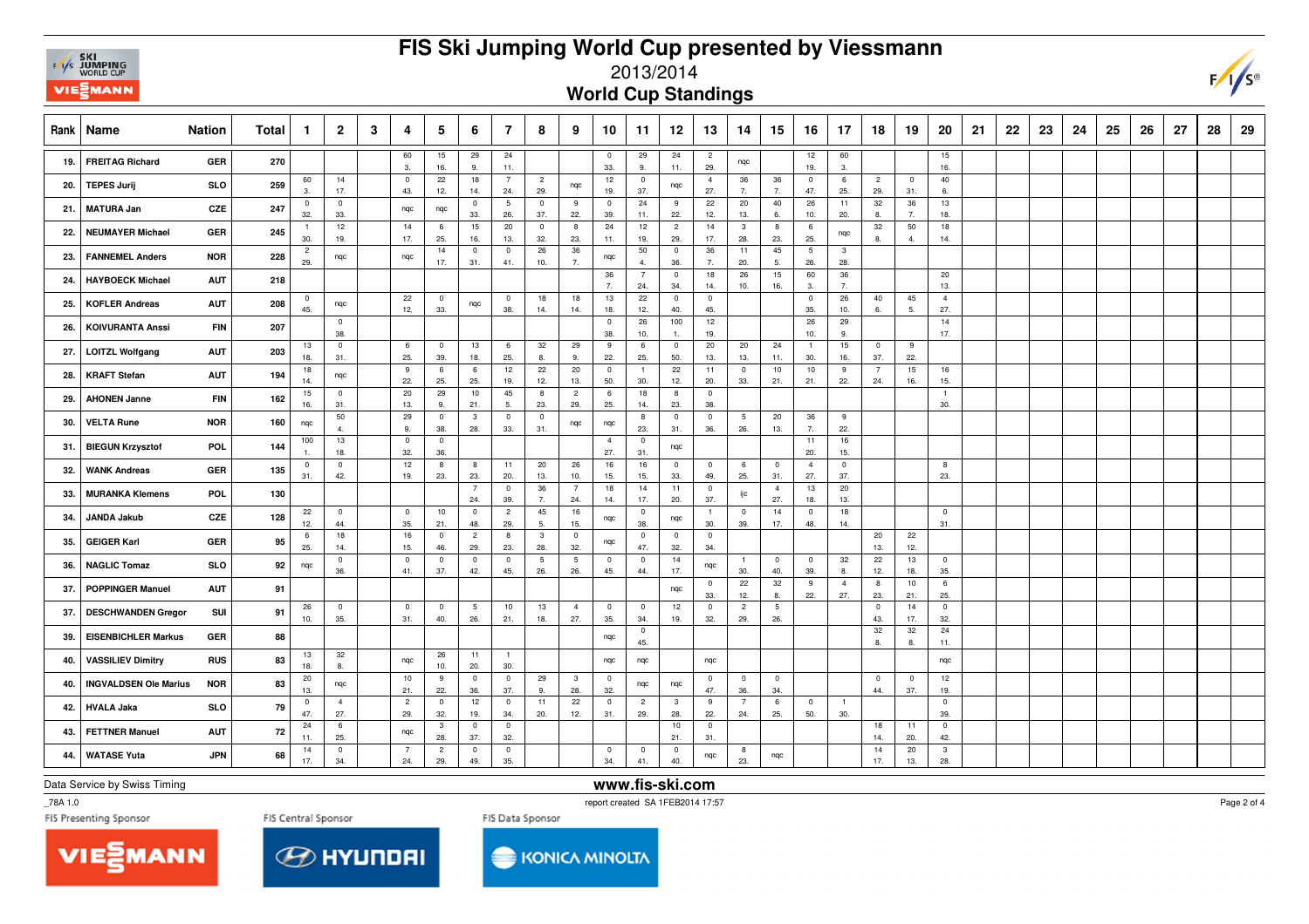

## **FIS Ski Jumping World Cup presented by Viessmann**



2013/2014

**World Cup Standings**

| Rank | Name                         | <b>Nation</b> | Total | $\mathbf{1}$          | $\overline{2}$        | 3 | 4                              | 5                     | 6                     | 7                     | 8                     | 9                              | 10                             | 11                    | 12                    | 13                    | 14                             | 15                    | 16                     | 17                    | 18                    | 19                    | 20                    | 21 | 22 | 23 | 24 | 25 | 26 | 27 | 28 | 29 |
|------|------------------------------|---------------|-------|-----------------------|-----------------------|---|--------------------------------|-----------------------|-----------------------|-----------------------|-----------------------|--------------------------------|--------------------------------|-----------------------|-----------------------|-----------------------|--------------------------------|-----------------------|------------------------|-----------------------|-----------------------|-----------------------|-----------------------|----|----|----|----|----|----|----|----|----|
| 19.  | <b>FREITAG Richard</b>       | GER           | 270   |                       |                       |   | 60<br>3.                       | 15<br>16.             | 29<br>9.              | 24<br>11.             |                       |                                | $\overline{0}$<br>33.          | 29<br>9.              | 24<br>11.             | $\overline{c}$<br>29. | nqc                            |                       | 12<br>19.              | 60<br>3.              |                       |                       | 15<br>16.             |    |    |    |    |    |    |    |    |    |
| 20.  | <b>TEPES Jurij</b>           | <b>SLO</b>    | 259   | 60<br>$\mathbf{3}$    | 14<br>17.             |   | $\pmb{0}$<br>43.               | 22<br>12.             | 18<br>14.             | $\overline{7}$<br>24. | $\overline{2}$<br>29. | nqc                            | 12<br>19.                      | $\overline{0}$<br>37. | nqc                   | $\overline{4}$<br>27. | 36<br>7.                       | 36<br>7.              | $\mathbf 0$<br>47.     | 6<br>25.              | $\overline{c}$<br>29. | $\overline{0}$<br>31. | 40<br>6.              |    |    |    |    |    |    |    |    |    |
| 21.  | <b>MATURA Jan</b>            | CZE           | 247   | $\overline{0}$<br>32. | $\mathbf 0$<br>33.    |   | nqc                            | nqc                   | $\mathbf{0}$<br>33.   | 5<br>26.              | $\overline{0}$<br>37. | 9<br>22.                       | $\mathbf 0$<br>39.             | 24<br>11.             | 9<br>22.              | 22<br>12.             | 20<br>13.                      | 40<br>6.              | 26<br>10.              | 11<br>20.             | 32<br>8.              | 36<br>7.              | 13<br>18.             |    |    |    |    |    |    |    |    |    |
| 22.  | <b>NEUMAYER Michael</b>      | GER           | 245   | $\overline{1}$<br>30. | 12<br>19.             |   | 14<br>17.                      | 6<br>25.              | 15<br>16.             | 20<br>13.             | $\overline{0}$<br>32. | 8<br>23.                       | 24<br>11.                      | 12<br>19.             | $\overline{2}$<br>29. | 14<br>17.             | $\overline{\mathbf{3}}$<br>28. | 8<br>23.              | 6<br>25.               | nqc                   | 32<br>8.              | 50<br>4.              | 18<br>14.             |    |    |    |    |    |    |    |    |    |
| 23.  | <b>FANNEMEL Anders</b>       | <b>NOR</b>    | 228   | $\overline{c}$<br>29. | nqc                   |   | ngc                            | 14<br>17.             | $\mathbf{0}$<br>31.   | $^{\circ}$<br>41.     | 26<br>10.             | 36<br>7.                       | nqc                            | 50<br>$\overline{4}$  | $\overline{0}$<br>36. | 36<br>7.              | 11<br>20.                      | 45<br>5.              | $5\phantom{.0}$<br>26. | $\mathbf{3}$<br>28.   |                       |                       |                       |    |    |    |    |    |    |    |    |    |
| 24.  | <b>HAYBOECK Michael</b>      | <b>AUT</b>    | 218   |                       |                       |   |                                |                       |                       |                       |                       |                                | 36<br>$\overline{7}$           | $\overline{7}$<br>24. | $\mathsf 0$<br>34.    | 18<br>14.             | 26<br>10.                      | 15<br>16.             | 60<br>3.               | 36<br>7.              |                       |                       | 20<br>13.             |    |    |    |    |    |    |    |    |    |
| 25.  | <b>KOFLER Andreas</b>        | <b>AUT</b>    | 208   | $\overline{0}$<br>45. | nqc                   |   | 22<br>12.                      | $\overline{0}$<br>33. | nqc                   | $\mathbf 0$<br>38.    | 18<br>14.             | 18<br>14.                      | 13<br>18.                      | 22<br>12.             | $\mathbf 0$<br>40.    | $\mathbf 0$<br>45.    |                                |                       | $\mathbf 0$<br>35.     | 26<br>10.             | 40<br>6.              | 45<br>5.              | $\overline{4}$<br>27. |    |    |    |    |    |    |    |    |    |
| 26.  | <b>KOIVURANTA Anssi</b>      | <b>FIN</b>    | 207   |                       | $\mathbf 0$<br>38.    |   |                                |                       |                       |                       |                       |                                | $\mathbf 0$<br>38.             | 26<br>10.             | 100                   | 12<br>19.             |                                |                       | 26<br>10.              | 29<br>9.              |                       |                       | 14<br>17.             |    |    |    |    |    |    |    |    |    |
| 27.  | <b>LOITZL Wolfgang</b>       | <b>AUT</b>    | 203   | 13<br>18.             | $\mathbf 0$<br>31.    |   | 6<br>25.                       | $\overline{0}$<br>39. | 13<br>18.             | 6<br>25.              | 32<br>8.              | 29<br>9.                       | 9<br>22.                       | 6<br>25.              | $\overline{0}$<br>50. | 20<br>13.             | 20<br>13.                      | 24<br>11.             | $\overline{1}$<br>30.  | 15<br>16.             | $\mathbf 0$<br>37.    | 9<br>22.              |                       |    |    |    |    |    |    |    |    |    |
| 28.  | <b>KRAFT Stefan</b>          | <b>AUT</b>    | 194   | 18<br>14.             | nqc                   |   | 9<br>22.                       | 6<br>25.              | 6<br>25.              | 12<br>19.             | 22<br>12.             | 20<br>13.                      | $\overline{\mathbf{0}}$<br>50. | $\overline{1}$<br>30. | 22<br>12.             | 11<br>20.             | $\overline{0}$<br>33.          | 10<br>21.             | 10<br>21.              | 9<br>22.              | $\overline{7}$<br>24. | 15<br>16.             | 16<br>15.             |    |    |    |    |    |    |    |    |    |
| 29.  | <b>AHONEN Janne</b>          | FIN           | 162   | 15<br>16.             | $\mathbf 0$<br>31.    |   | 20<br>13.                      | 29<br>9.              | 10<br>21.             | 45<br>5.              | 8<br>23.              | $\overline{c}$<br>29.          | 6<br>25.                       | 18<br>14.             | 8<br>23.              | $\mathbf 0$<br>38.    |                                |                       |                        |                       |                       |                       | $\overline{1}$<br>30. |    |    |    |    |    |    |    |    |    |
| 30.  | <b>VELTA Rune</b>            | <b>NOR</b>    | 160   | nqc                   | 50<br>$\mathbf{4}$    |   | 29<br>9.                       | $\overline{0}$<br>38. | $\mathbf{3}$<br>28.   | $\overline{0}$<br>33. | $\overline{0}$<br>31. | nqc                            | nqc                            | 8<br>23.              | $\mathbf 0$<br>31.    | $\mathbf 0$<br>36.    | 5<br>26.                       | 20<br>13.             | 36<br>7.               | 9<br>22.              |                       |                       |                       |    |    |    |    |    |    |    |    |    |
| 31.  | <b>BIEGUN Krzysztof</b>      | POL           | 144   | 100<br>$\overline{1}$ | 13<br>18.             |   | $\overline{0}$<br>32.          | $\overline{0}$<br>36. |                       |                       |                       |                                | $\overline{4}$<br>27.          | $\overline{0}$<br>31. | nqc                   |                       |                                |                       | 11<br>20.              | 16<br>15.             |                       |                       |                       |    |    |    |    |    |    |    |    |    |
| 32.  | <b>WANK Andreas</b>          | <b>GER</b>    | 135   | $\overline{0}$<br>31. | $\mathbf{0}$<br>42.   |   | 12<br>19.                      | 8<br>23.              | 8<br>23.              | 11<br>20.             | 20<br>13.             | 26<br>10.                      | 16<br>15.                      | 16<br>15.             | $\overline{0}$<br>33. | $\mathbf 0$<br>49.    | 6<br>25.                       | $\overline{0}$<br>31. | $\overline{4}$<br>27.  | $\overline{0}$<br>37. |                       |                       | 8<br>23.              |    |    |    |    |    |    |    |    |    |
| 33.  | <b>MURANKA Klemens</b>       | <b>POL</b>    | 130   |                       |                       |   |                                |                       | $\overline{7}$<br>24. | $\overline{0}$<br>39. | 36<br>7.              | $\overline{7}$<br>24.          | 18<br>14.                      | 14<br>17.             | 11<br>20.             | $\mathbf 0$<br>37.    | ijс                            | $\overline{4}$<br>27. | 13<br>18.              | 20<br>13.             |                       |                       |                       |    |    |    |    |    |    |    |    |    |
| 34.  | <b>JANDA Jakub</b>           | CZE           | 128   | 22<br>12.             | $\overline{0}$<br>44. |   | $\pmb{0}$<br>35.               | 10<br>21.             | $\mathbf{0}$<br>48.   | $\overline{2}$<br>29. | 45<br>5.              | 16<br>15.                      | nqc                            | $\overline{0}$<br>38. | nqc                   | $\overline{1}$<br>30. | $\overline{\mathbf{0}}$<br>39. | 14<br>17.             | $\mathbf{0}$<br>48.    | 18<br>14.             |                       |                       | $\mathbf 0$<br>31.    |    |    |    |    |    |    |    |    |    |
| 35.  | <b>GEIGER Karl</b>           | GER           | 95    | $\,6\,$<br>25.        | 18<br>14.             |   | 16<br>15.                      | $\mathbf 0$<br>46.    | $\overline{2}$<br>29. | 8<br>23.              | $\mathbf{3}$<br>28.   | $\mathbf 0$<br>32.             | nqc                            | $\mathbf 0$<br>47.    | $\mathbf 0$<br>32.    | $\mathbf 0$<br>34.    |                                |                       |                        |                       | 20<br>13.             | 22<br>12.             |                       |    |    |    |    |    |    |    |    |    |
| 36.  | <b>NAGLIC Tomaz</b>          | <b>SLO</b>    | 92    | nqc                   | $\mathbf 0$<br>36.    |   | $\mathbf 0$<br>41.             | $\overline{0}$<br>37. | $\mathbf 0$<br>42.    | $\mathbf 0$<br>45.    | 5<br>26.              | $5\phantom{.0}$<br>26.         | $\mathbf 0$<br>45.             | $\overline{0}$<br>44. | 14<br>17.             | nqc                   | $\overline{1}$<br>30.          | $\overline{0}$<br>40. | $\mathbf 0$<br>39.     | 32<br>8.              | 22<br>12.             | 13<br>18.             | $\mathbf 0$<br>35.    |    |    |    |    |    |    |    |    |    |
| 37.  | <b>POPPINGER Manuel</b>      | <b>AUT</b>    | 91    |                       |                       |   |                                |                       |                       |                       |                       |                                |                                |                       | nqc                   | $\overline{0}$<br>33. | 22<br>12.                      | 32<br>8.              | 9<br>22.               | $\overline{4}$<br>27. | 8<br>23.              | 10<br>21.             | 6<br>25.              |    |    |    |    |    |    |    |    |    |
| 37.  | <b>DESCHWANDEN Gregor</b>    | SUI           | 91    | 26<br>10.             | $\mathbf 0$<br>35.    |   | $\overline{\mathbf{0}}$<br>31. | $\overline{0}$<br>40. | 5<br>26.              | 10<br>21.             | 13<br>18.             | $\overline{4}$<br>27.          | $\overline{0}$<br>35.          | $\overline{0}$<br>34. | 12<br>19.             | $\mathbf 0$<br>32.    | $\overline{2}$<br>29.          | 5<br>26.              |                        |                       | $\mathbf 0$<br>43.    | 14<br>17.             | $\mathbf 0$<br>32.    |    |    |    |    |    |    |    |    |    |
| 39.  | <b>EISENBICHLER Markus</b>   | GER           | 88    |                       |                       |   |                                |                       |                       |                       |                       |                                | ngc                            | $\overline{0}$<br>45. |                       |                       |                                |                       |                        |                       | 32<br>8.              | 32<br>8.              | 24<br>11.             |    |    |    |    |    |    |    |    |    |
| 40.  | <b>VASSILIEV Dimitry</b>     | <b>RUS</b>    | 83    | 13<br>18.             | 32<br>8.              |   | nqc                            | 26<br>10.             | 11<br>20.             | $\overline{1}$<br>30. |                       |                                | nqc                            | nqc                   |                       | nqc                   |                                |                       |                        |                       |                       |                       | nqc                   |    |    |    |    |    |    |    |    |    |
| 40.  | <b>INGVALDSEN Ole Marius</b> | <b>NOR</b>    | 83    | 20<br>13.             | nqc                   |   | 10<br>21.                      | 9<br>22.              | $\mathbf{0}$<br>36.   | $\mathbf{0}$<br>37.   | 29<br>9.              | $\overline{\mathbf{3}}$<br>28. | $\overline{0}$<br>32.          | nqc                   | nqc                   | $\overline{0}$<br>47. | $\overline{\mathbf{0}}$<br>36. | $\overline{0}$<br>34. |                        |                       | $\overline{0}$<br>44. | $\overline{0}$<br>37. | 12<br>19.             |    |    |    |    |    |    |    |    |    |
| 42.  | <b>HVALA Jaka</b>            | <b>SLO</b>    | 79    | $\overline{0}$<br>47. | $\overline{4}$<br>27. |   | $\overline{c}$<br>29.          | $\overline{0}$<br>32. | 12<br>19.             | $\overline{0}$<br>34. | 11<br>20.             | 22<br>12.                      | $\overline{\mathbf{0}}$<br>31. | $\overline{2}$<br>29. | 3<br>28.<br>$10$      | 9<br>22.              | $\overline{7}$<br>24.          | 6<br>25.              | $\mathbf{0}$<br>50.    | $\overline{1}$<br>30. |                       |                       | $\mathbf 0$<br>39.    |    |    |    |    |    |    |    |    |    |
| 43.  | <b>FETTNER Manuel</b>        | <b>AUT</b>    | 72    | 24<br>11.             | 6<br>25.              |   | ngc                            | $\mathbf{3}$<br>28.   | $\mathbf{0}$<br>37.   | $\overline{0}$<br>32. |                       |                                |                                |                       | 21.                   | $\overline{0}$<br>31. |                                |                       |                        |                       | 18<br>14.             | 11<br>20.             | $\mathbf 0$<br>42.    |    |    |    |    |    |    |    |    |    |
| 44.  | <b>WATASE Yuta</b>           | <b>JPN</b>    | 68    | 14<br>17.             | $\overline{0}$<br>34. |   | $\overline{7}$<br>24.          | $\overline{2}$<br>29. | $\mathbf{0}$<br>49.   | 0<br>35.              |                       |                                | $\mathbf 0$<br>34.             | $\overline{0}$<br>41. | $\overline{0}$<br>40. | nqc                   | - 8<br>23.                     | nqc                   |                        |                       | 14<br>17.             | 20<br>13.             | $\mathbf{3}$<br>28.   |    |    |    |    |    |    |    |    |    |

Data Service by Swiss Timing

**www.fis-ski.com**

\_78A 1.0

report created SA 1FEB2014 17:57





**KONICA MINOLTA** 

Page 2 of 4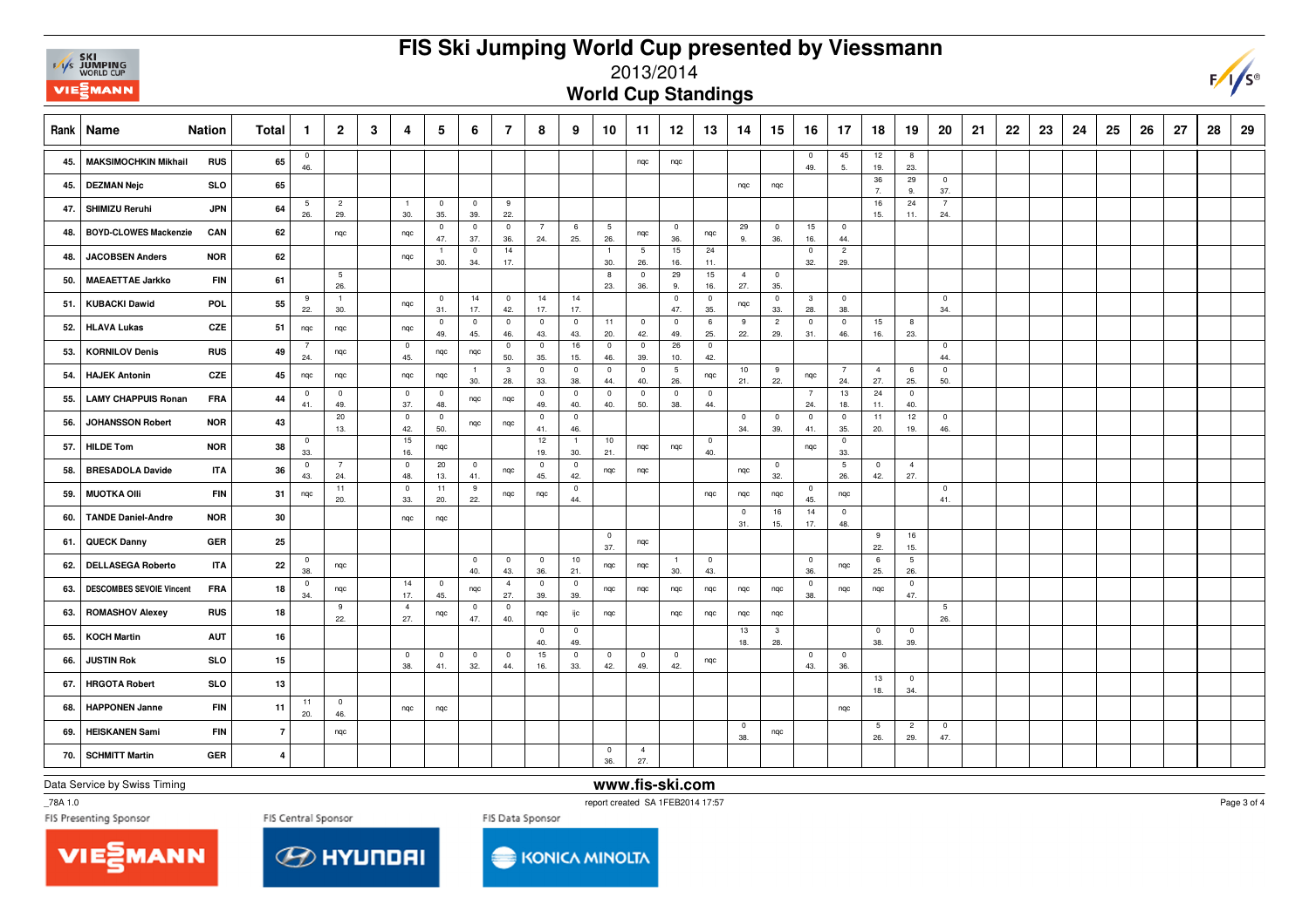|      | <b>SKI<br/>F/I/S JUMPING</b><br>WORLD CUP<br><b>VIE EMANN</b> |            |                |                       |                       |   |                                |                       |                                |                       |                       |                       |                       | FIS Ski Jumping World Cup presented by Viessmann<br>2013/2014 |                       |                       |                       |                                |                                |                                |                        |                       |                        |    |    |    |    |    |    |    |    | $F/I/S^c$ |
|------|---------------------------------------------------------------|------------|----------------|-----------------------|-----------------------|---|--------------------------------|-----------------------|--------------------------------|-----------------------|-----------------------|-----------------------|-----------------------|---------------------------------------------------------------|-----------------------|-----------------------|-----------------------|--------------------------------|--------------------------------|--------------------------------|------------------------|-----------------------|------------------------|----|----|----|----|----|----|----|----|-----------|
|      | <b>World Cup Standings</b><br><b>Nation</b>                   |            |                |                       |                       |   |                                |                       |                                |                       |                       |                       |                       |                                                               |                       |                       |                       |                                |                                |                                |                        |                       |                        |    |    |    |    |    |    |    |    |           |
| Rank | Name                                                          |            | <b>Total</b>   | $\mathbf{1}$          | $\overline{2}$        | 3 | 4                              | 5                     | 6                              | $\overline{7}$        | 8                     | 9                     | 10                    | 11                                                            | 12                    | 13                    | 14                    | 15                             | 16                             | 17                             | 18                     | 19                    | 20                     | 21 | 22 | 23 | 24 | 25 | 26 | 27 | 28 | 29        |
| 45.  | <b>MAKSIMOCHKIN Mikhail</b>                                   | <b>RUS</b> | 65             | $\mathbf 0$<br>46.    |                       |   |                                |                       |                                |                       |                       |                       |                       | ngc                                                           | ngc                   |                       |                       |                                | $\pmb{0}$<br>49.               | 45<br>5.                       | 12<br>19.              | 8<br>23.              |                        |    |    |    |    |    |    |    |    |           |
| 45.  | <b>DEZMAN Nejc</b>                                            | <b>SLO</b> | 65             |                       |                       |   |                                |                       |                                |                       |                       |                       |                       |                                                               |                       |                       | nqc                   | nqc                            |                                |                                | 36<br>$\overline{7}$   | 29<br>9.              | $\mathbf 0$<br>37.     |    |    |    |    |    |    |    |    |           |
| 47.  | SHIMIZU Reruhi                                                | <b>JPN</b> | 64             | 5<br>26.              | $\overline{2}$<br>29. |   | $\overline{1}$<br>30.          | $\mathbf 0$<br>35.    | $\mathbf 0$<br>39.             | 9<br>22.              |                       |                       |                       |                                                               |                       |                       |                       |                                |                                |                                | 16<br>15.              | 24<br>11.             | $\overline{7}$<br>24.  |    |    |    |    |    |    |    |    |           |
| 48.  | <b>BOYD-CLOWES Mackenzie</b>                                  | CAN        | 62             |                       | nqc                   |   | nqc                            | $\mathbf{0}$<br>47.   | $\mathbf 0$<br>37.             | $\mathbf 0$<br>36.    | $\overline{7}$<br>24. | 6<br>25.              | 5<br>26.              | nqc                                                           | $\overline{0}$<br>36. | nqc                   | 29<br>9.              | $\overline{0}$<br>36.          | 15<br>16.                      | $\overline{0}$<br>44.          |                        |                       |                        |    |    |    |    |    |    |    |    |           |
| 48.  | <b>JACOBSEN Anders</b>                                        | <b>NOR</b> | 62             |                       |                       |   | nqc                            | $\overline{1}$<br>30. | $\overline{0}$<br>34.          | 14<br>17.             |                       |                       | $\overline{1}$<br>30. | 5<br>26.                                                      | 15<br>16.             | 24<br>11.             |                       |                                | $\pmb{0}$<br>32.               | $\overline{2}$<br>29.          |                        |                       |                        |    |    |    |    |    |    |    |    |           |
| 50.  | <b>MAEAETTAE Jarkko</b>                                       | <b>FIN</b> | 61             |                       | 5<br>26.              |   |                                |                       |                                |                       |                       |                       | 8<br>23.              | $\overline{0}$<br>36.                                         | 29<br>9.              | 15<br>16.             | $\overline{4}$<br>27. | $\overline{0}$<br>35.          |                                |                                |                        |                       |                        |    |    |    |    |    |    |    |    |           |
| 51   | <b>KUBACKI Dawid</b>                                          | POL        | 55             | 9<br>22.              | $\overline{1}$<br>30. |   | nqc                            | $\overline{0}$<br>31. | 14<br>17.                      | $\mathbf 0$<br>42.    | 14<br>17.             | 14<br>17.             |                       |                                                               | $\mathbf 0$<br>47.    | $\overline{0}$<br>35. | nqc                   | $\overline{0}$<br>33.          | $\overline{\mathbf{3}}$<br>28. | $\overline{0}$<br>38.          |                        |                       | $\mathbf 0$<br>34.     |    |    |    |    |    |    |    |    |           |
| 52.  | <b>HLAVA Lukas</b>                                            | <b>CZE</b> | 51             | nqc                   | nqc                   |   | nqc                            | $\mathbf 0$<br>49.    | $\mathbf 0$<br>45.             | $\mathbf 0$<br>46.    | $\mathbf 0$<br>43.    | $\mathbf 0$<br>43.    | 11<br>20.             | $\mathbf 0$<br>42.                                            | $\overline{0}$<br>49. | $\,6\,$<br>25.        | 9<br>22.              | $\overline{2}$<br>29.          | $\mathbf 0$<br>31.             | $\mathbf 0$<br>46.             | 15<br>16.              | 8<br>23.              |                        |    |    |    |    |    |    |    |    |           |
| 53.  | <b>KORNILOV Denis</b>                                         | <b>RUS</b> | 49             | $\overline{7}$<br>24. | nqc                   |   | $\overline{\mathbf{0}}$<br>45. | nqc                   | nqc                            | $\mathbf 0$<br>50.    | $\mathbf 0$<br>35.    | $16\,$<br>15.         | $\mathbf 0$<br>46.    | $\mathbf 0$<br>39.                                            | 26<br>10.             | $\mathbf 0$<br>42.    |                       |                                |                                |                                |                        |                       | $\mathbf 0$<br>44.     |    |    |    |    |    |    |    |    |           |
| 54.  | <b>HAJEK Antonin</b>                                          | <b>CZE</b> | 45             | nqc                   | nqc                   |   | nqc                            | nqc                   | 30.                            | $\mathbf{3}$<br>28.   | $\mathbf 0$<br>33.    | $\overline{0}$<br>38. | $\pmb{0}$<br>44.      | $\mathbf 0$<br>40.                                            | $\,$ 5 $\,$<br>26.    | nqc                   | 10<br>21.             | 9<br>22.                       | nqc                            | $\overline{7}$<br>24.          | $\overline{4}$<br>27.  | 6<br>25.              | $\mathbf 0$<br>50.     |    |    |    |    |    |    |    |    |           |
| 55.  | <b>LAMY CHAPPUIS Ronan</b>                                    | <b>FRA</b> | 44             | $\mathbf 0$<br>41.    | $\mathbf 0$<br>49.    |   | $\overline{\mathbf{0}}$<br>37. | $\overline{0}$<br>48. | nqc                            | nqc                   | $\mathbf 0$<br>49.    | $\overline{0}$<br>40. | $\mathbf 0$<br>40.    | $\mathbf 0$<br>50.                                            | $\mathbf 0$<br>38.    | $\overline{0}$<br>44. |                       |                                | 7<br>24.                       | 13<br>18.                      | 24<br>11.              | $\overline{0}$<br>40. |                        |    |    |    |    |    |    |    |    |           |
| 56.  | <b>JOHANSSON Robert</b>                                       | <b>NOR</b> | 43             |                       | 20<br>13.             |   | $\overline{0}$<br>42.          | $\overline{0}$<br>50. | nqc                            | nqc                   | $\mathbf 0$<br>41.    | $\mathbf{0}$<br>46.   |                       |                                                               |                       |                       | $\mathbf{0}$<br>34.   | $\overline{0}$<br>39.          | $\overline{0}$<br>41.          | $\overline{0}$<br>35.          | 11<br>20.              | 12<br>19.             | $\mathbf 0$<br>46.     |    |    |    |    |    |    |    |    |           |
| 57.  | <b>HILDE Tom</b>                                              | <b>NOR</b> | 38             | $\mathbf 0$<br>33.    |                       |   | 15<br>16.                      | nqc                   |                                |                       | 12<br>19.             | $\overline{1}$<br>30. | 10<br>21.             | nqc                                                           | nqc                   | $\mathbf 0$<br>40.    |                       |                                | nqc                            | $\mathbf{0}$<br>33.            |                        |                       |                        |    |    |    |    |    |    |    |    |           |
| 58.  | <b>BRESADOLA Davide</b>                                       | <b>ITA</b> | 36             | $\mathbf 0$<br>43.    | $\overline{7}$<br>24. |   | $\overline{\mathbf{0}}$<br>48. | 20<br>13.             | $\overline{\mathbf{0}}$<br>41. | nqc                   | $\mathbf 0$<br>45.    | $\mathbf 0$<br>42.    | nqc                   | nqc                                                           |                       |                       | nqc                   | $\overline{0}$<br>32.          |                                | $5\phantom{.0}$<br>26.         | $\bf{0}$<br>42.        | $\overline{4}$<br>27. |                        |    |    |    |    |    |    |    |    |           |
| 59.  | <b>MUOTKA Olli</b>                                            | <b>FIN</b> | 31             | nqc                   | 11<br>20.             |   | $\overline{\mathbf{0}}$<br>33. | 11<br>20.             | 9<br>22.                       | nqc                   | nqc                   | $\mathbf 0$<br>44.    |                       |                                                               |                       | nqc                   | nqc                   | nqc                            | $\overline{\mathbf{0}}$<br>45. | nqc                            |                        |                       | $\mathbf 0$<br>41.     |    |    |    |    |    |    |    |    |           |
| 60.  | <b>TANDE Daniel-Andre</b>                                     | <b>NOR</b> | 30             |                       |                       |   | ngc                            | nqc                   |                                |                       |                       |                       |                       |                                                               |                       |                       | $\pmb{0}$<br>31.      | 16<br>15.                      | 14<br>17.                      | $\overline{\mathbf{0}}$<br>48. |                        |                       |                        |    |    |    |    |    |    |    |    |           |
| 61.  | <b>QUECK Danny</b>                                            | <b>GER</b> | 25             |                       |                       |   |                                |                       |                                |                       |                       |                       | $\mathbf 0$<br>37.    | nqc                                                           |                       |                       |                       |                                |                                |                                | 9<br>22.               | 16<br>15.             |                        |    |    |    |    |    |    |    |    |           |
| 62.  | <b>DELLASEGA Roberto</b>                                      | <b>ITA</b> | 22             | $\overline{0}$<br>38. | nqc                   |   |                                |                       | $\pmb{0}$<br>40.               | $\mathbf 0$<br>43.    | $\mathbf 0$<br>36.    | $10$<br>21.           | nqc                   | nqc                                                           | $\overline{1}$<br>30. | $\mathbf 0$<br>43.    |                       |                                | $\mathbf 0$<br>36.             | nqc                            | 6<br>25.               | $\overline{5}$<br>26. |                        |    |    |    |    |    |    |    |    |           |
| 63.  | <b>DESCOMBES SEVOIE Vincent</b>                               | <b>FRA</b> | 18             | $\overline{0}$<br>34. | nqc                   |   | 14<br>17.                      | $\mathbf{0}$<br>45.   | nqc                            | $\overline{4}$<br>27. | $\overline{0}$<br>39. | $\mathbf 0$<br>39.    | nqc                   | nqc                                                           | nqc                   | nqc                   | nqc                   | nqc                            | $\mathbf 0$<br>38.             | nqc                            | nqc                    | $\mathbf 0$<br>47.    |                        |    |    |    |    |    |    |    |    |           |
| 63.  | <b>ROMASHOV Alexey</b>                                        | <b>RUS</b> | 18             |                       | 9<br>22.              |   | $\overline{4}$<br>27.          | nqc                   | $\mathbf 0$<br>47.             | $\mathbf 0$<br>40.    | nqc                   | ijс                   | nqc                   |                                                               | nqc                   | nqc                   | nqc                   | nqc                            |                                |                                |                        |                       | $5\phantom{.0}$<br>26. |    |    |    |    |    |    |    |    |           |
| 65.  | <b>KOCH Martin</b>                                            | <b>AUT</b> | 16             |                       |                       |   |                                |                       |                                |                       | $^{\circ}$<br>40.     | $\mathbf{0}$<br>49.   |                       |                                                               |                       |                       | 13<br>18.             | $\overline{\mathbf{3}}$<br>28. |                                |                                | $\pmb{0}$<br>38.       | $\overline{0}$<br>39. |                        |    |    |    |    |    |    |    |    |           |
| 66.  | <b>JUSTIN Rok</b>                                             | <b>SLO</b> | 15             |                       |                       |   | $^{\circ}$<br>38.              | $^{\circ}$<br>41.     | $\overline{0}$<br>32.          | $^{\circ}$<br>44.     | 15<br>16.             | $\mathbf 0$<br>33.    | $\mathbf 0$<br>42.    | $^{\circ}$<br>49.                                             | $^{\circ}$<br>42.     | nqc                   |                       |                                | $\mathbf 0$<br>43.             | $^{\circ}$<br>36.              |                        |                       |                        |    |    |    |    |    |    |    |    |           |
| 67.  | <b>HRGOTA Robert</b>                                          | <b>SLO</b> | 13             |                       |                       |   |                                |                       |                                |                       |                       |                       |                       |                                                               |                       |                       |                       |                                |                                |                                | 13<br>18.              | $\overline{0}$<br>34. |                        |    |    |    |    |    |    |    |    |           |
| 68.  | <b>HAPPONEN Janne</b>                                         | <b>FIN</b> | 11             | 11<br>20.             | $\mathbf 0$<br>46.    |   | nqc                            | nqc                   |                                |                       |                       |                       |                       |                                                               |                       |                       |                       |                                |                                | ngc                            |                        |                       |                        |    |    |    |    |    |    |    |    |           |
| 69.  | <b>HEISKANEN Sami</b>                                         | <b>FIN</b> | $\overline{7}$ |                       | ngc                   |   |                                |                       |                                |                       |                       |                       |                       |                                                               |                       |                       | $\pmb{0}$<br>38.      | nqc                            |                                |                                | $5\phantom{.0}$<br>26. | $\overline{2}$<br>29. | $\mathbf 0$<br>47.     |    |    |    |    |    |    |    |    |           |
| 70.  | <b>SCHMITT Martin</b>                                         | GER        | $\overline{4}$ |                       |                       |   |                                |                       |                                |                       |                       |                       | $\mathbf 0$<br>36.    | $\overline{4}$<br>27.                                         |                       |                       |                       |                                |                                |                                |                        |                       |                        |    |    |    |    |    |    |    |    |           |
|      |                                                               |            |                |                       |                       |   |                                |                       |                                |                       |                       |                       |                       |                                                               |                       |                       |                       |                                |                                |                                |                        |                       |                        |    |    |    |    |    |    |    |    |           |



## **www.fis-ski.com**

\_78A 1.0

report created SA 1FEB2014 17:57







Page 3 of 4